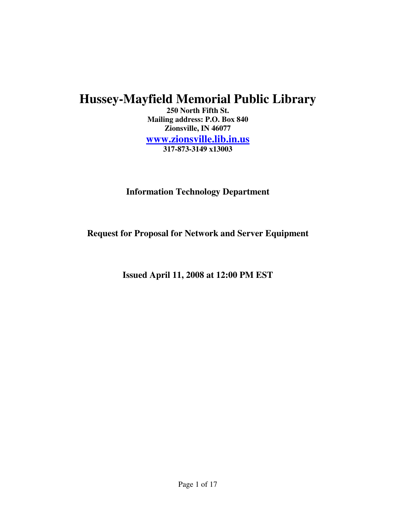# **Hussey-Mayfield Memorial Public Library**

**250 North Fifth St. Mailing address: P.O. Box 840 Zionsville, IN 46077 www.zionsville.lib.in.us 317-873-3149 x13003**

**Information Technology Department** 

**Request for Proposal for Network and Server Equipment** 

**Issued April 11, 2008 at 12:00 PM EST**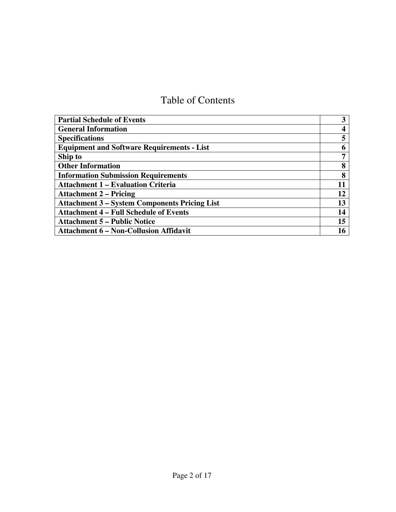# Table of Contents

| <b>Partial Schedule of Events</b>                    | 3  |
|------------------------------------------------------|----|
| <b>General Information</b>                           |    |
| <b>Specifications</b>                                |    |
| <b>Equipment and Software Requirements - List</b>    | 6  |
| Ship to                                              | 7  |
| <b>Other Information</b>                             | 8  |
| <b>Information Submission Requirements</b>           | 8  |
| <b>Attachment 1 – Evaluation Criteria</b>            | 11 |
| <b>Attachment 2 – Pricing</b>                        | 12 |
| <b>Attachment 3 – System Components Pricing List</b> | 13 |
| <b>Attachment 4 – Full Schedule of Events</b>        | 14 |
| <b>Attachment 5 – Public Notice</b>                  | 15 |
| <b>Attachment 6 – Non-Collusion Affidavit</b>        |    |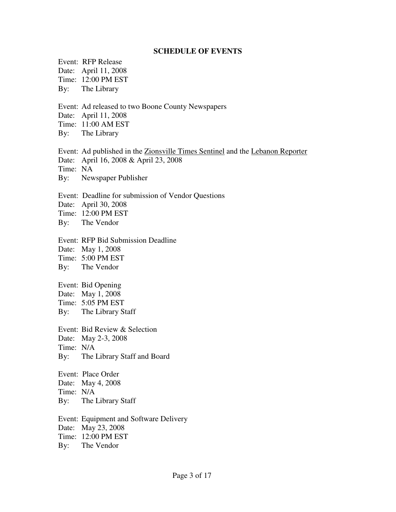#### **SCHEDULE OF EVENTS**

Event: RFP Release Date: April 11, 2008 Time: 12:00 PM EST By: The Library

Event: Ad released to two Boone County Newspapers

Date: April 11, 2008

Time: 11:00 AM EST

By: The Library

Event: Ad published in the Zionsville Times Sentinel and the Lebanon Reporter Date: April 16, 2008 & April 23, 2008

Time: NA

By: Newspaper Publisher

Event: Deadline for submission of Vendor Questions

Date: April 30, 2008

Time: 12:00 PM EST

By: The Vendor

Event: RFP Bid Submission Deadline

Date: May 1, 2008

Time: 5:00 PM EST

By: The Vendor

Event: Bid Opening

Date: May 1, 2008

Time: 5:05 PM EST

By: The Library Staff

Event: Bid Review & Selection Date: May 2-3, 2008

Time: N/A

By: The Library Staff and Board

Event: Place Order

Date: May 4, 2008

Time: N/A

By: The Library Staff

Event: Equipment and Software Delivery Date: May 23, 2008 Time: 12:00 PM EST By: The Vendor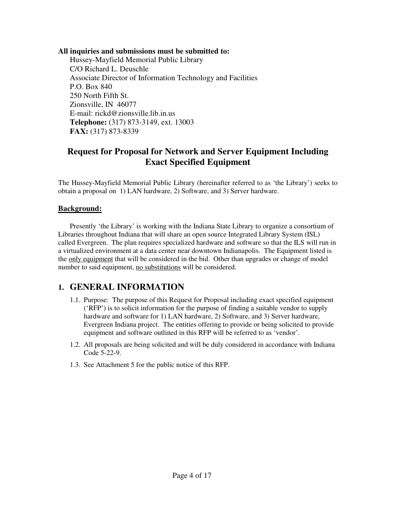**All inquiries and submissions must be submitted to:**

Hussey-Mayfield Memorial Public Library C/O Richard L. Deuschle Associate Director of Information Technology and Facilities P.O. Box 840 250 North Fifth St. Zionsville, IN 46077 E-mail: rickd@zionsville.lib.in.us **Telephone:** (317) 873-3149, ext. 13003 **FAX:** (317) 873-8339

## **Request for Proposal for Network and Server Equipment Including Exact Specified Equipment**

The Hussey-Mayfield Memorial Public Library (hereinafter referred to as 'the Library') seeks to obtain a proposal on 1) LAN hardware, 2) Software, and 3) Server hardware.

#### **Background:**

Presently 'the Library' is working with the Indiana State Library to organize a consortium of Libraries throughout Indiana that will share an open source Integrated Library System (ISL) called Evergreen. The plan requires specialized hardware and software so that the ILS will run in a virtualized environment at a data center near downtown Indianapolis. The Equipment listed is the only equipment that will be considered in the bid. Other than upgrades or change of model number to said equipment, no substitutions will be considered.

## **1. GENERAL INFORMATION**

- 1.1. Purpose: The purpose of this Request for Proposal including exact specified equipment ('RFP') is to solicit information for the purpose of finding a suitable vendor to supply hardware and software for 1) LAN hardware, 2) Software, and 3) Server hardware, Evergreen Indiana project. The entities offering to provide or being solicited to provide equipment and software outlined in this RFP will be referred to as 'vendor'.
- 1.2. All proposals are being solicited and will be duly considered in accordance with Indiana Code 5-22-9.
- 1.3. See Attachment 5 for the public notice of this RFP.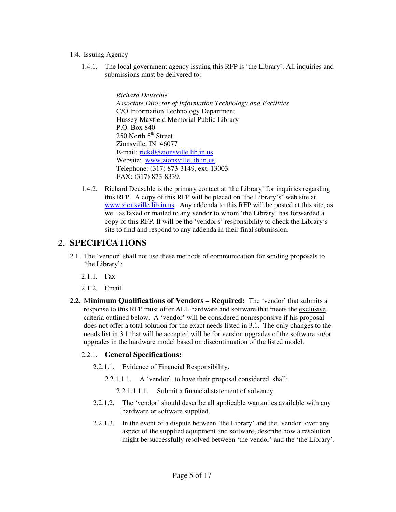- 1.4. Issuing Agency
	- 1.4.1. The local government agency issuing this RFP is 'the Library'. All inquiries and submissions must be delivered to:

*Richard Deuschle Associate Director of Information Technology and Facilities*  C/O Information Technology Department Hussey-Mayfield Memorial Public Library P.O. Box 840  $250$  North  $5<sup>th</sup>$  Street Zionsville, IN 46077 E-mail: rickd@zionsville.lib.in.us Website: www.zionsville.lib.in.us Telephone: (317) 873-3149, ext. 13003 FAX: (317) 873-8339.

1.4.2. Richard Deuschle is the primary contact at 'the Library' for inquiries regarding this RFP. A copy of this RFP will be placed on 'the Library's' web site at www.zionsville.lib.in.us . Any addenda to this RFP will be posted at this site, as well as faxed or mailed to any vendor to whom 'the Library' has forwarded a copy of this RFP. It will be the 'vendor's' responsibility to check the Library's site to find and respond to any addenda in their final submission.

### 2. **SPECIFICATIONS**

- 2.1. The 'vendor' shall not use these methods of communication for sending proposals to 'the Library':
	- 2.1.1. Fax
	- 2.1.2. Email
- **2.2.** M**inimum Qualifications of Vendors Required:** The 'vendor' that submits a response to this RFP must offer ALL hardware and software that meets the exclusive criteria outlined below. A 'vendor' will be considered nonresponsive if his proposal does not offer a total solution for the exact needs listed in 3.1. The only changes to the needs list in 3.1 that will be accepted will be for version upgrades of the software an/or upgrades in the hardware model based on discontinuation of the listed model.

#### 2.2.1. **General Specifications:**

- 2.2.1.1. Evidence of Financial Responsibility.
	- 2.2.1.1.1. A 'vendor', to have their proposal considered, shall:
		- 2.2.1.1.1.1. Submit a financial statement of solvency.
- 2.2.1.2. The 'vendor' should describe all applicable warranties available with any hardware or software supplied.
- 2.2.1.3. In the event of a dispute between 'the Library' and the 'vendor' over any aspect of the supplied equipment and software, describe how a resolution might be successfully resolved between 'the vendor' and the 'the Library'.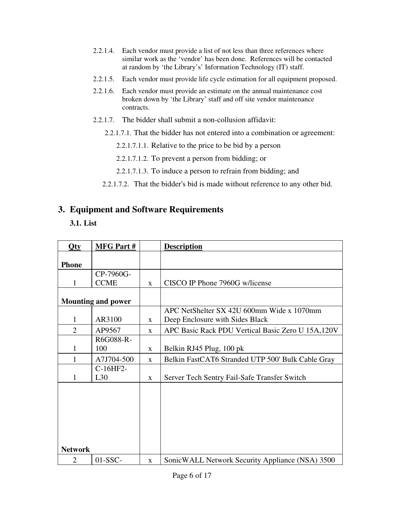- 2.2.1.4. Each vendor must provide a list of not less than three references where similar work as the 'vendor' has been done. References will be contacted at random by 'the Library's' Information Technology (IT) staff.
- 2.2.1.5. Each vendor must provide life cycle estimation for all equipment proposed.
- 2.2.1.6. Each vendor must provide an estimate on the annual maintenance cost broken down by 'the Library' staff and off site vendor maintenance contracts.
- 2.2.1.7. The bidder shall submit a non-collusion affidavit:
	- 2.2.1.7.1. That the bidder has not entered into a combination or agreement:
		- 2.2.1.7.1.1. Relative to the price to be bid by a person
		- 2.2.1.7.1.2. To prevent a person from bidding; or
		- 2.2.1.7.1.3. To induce a person to refrain from bidding; and
	- 2.2.1.7.2. That the bidder's bid is made without reference to any other bid.

### **3. Equipment and Software Requirements**

**3.1. List** 

| Qty            | <b>MFG Part#</b>          |              | <b>Description</b>                                |  |
|----------------|---------------------------|--------------|---------------------------------------------------|--|
| <b>Phone</b>   |                           |              |                                                   |  |
|                | CP-7960G-                 |              |                                                   |  |
| 1              | <b>CCME</b>               | $\mathbf{X}$ | CISCO IP Phone 7960G w/license                    |  |
|                | <b>Mounting and power</b> |              |                                                   |  |
|                |                           |              | APC NetShelter SX 42U 600mm Wide x 1070mm         |  |
| $\mathbf{1}$   | AR3100                    | $\mathbf{X}$ | Deep Enclosure with Sides Black                   |  |
| $\overline{2}$ | AP9567                    | $\mathbf{x}$ | APC Basic Rack PDU Vertical Basic Zero U 15A,120V |  |
|                | R6G088-R-                 |              |                                                   |  |
| 1              | 100                       | X            | Belkin RJ45 Plug, 100 pk                          |  |
|                | A7J704-500                | $\mathbf{X}$ | Belkin FastCAT6 Stranded UTP 500' Bulk Cable Gray |  |
|                | C-16HF2-                  |              |                                                   |  |
| 1              | L30                       | X            | Server Tech Sentry Fail-Safe Transfer Switch      |  |
| <b>Network</b> |                           |              |                                                   |  |
| $\overline{2}$ | $01-SSC-$                 | $\mathbf{X}$ | Sonic WALL Network Security Appliance (NSA) 3500  |  |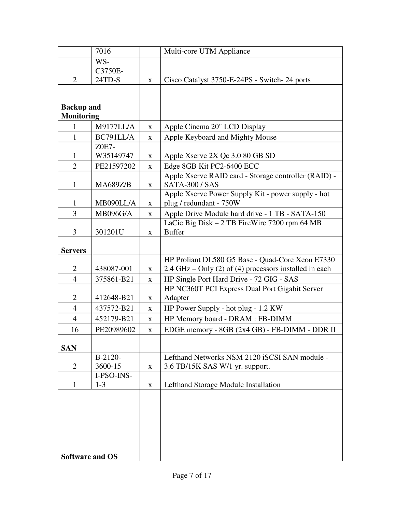|                                        | 7016                  |              | Multi-core UTM Appliance                                                                                     |  |
|----------------------------------------|-----------------------|--------------|--------------------------------------------------------------------------------------------------------------|--|
|                                        | WS-                   |              |                                                                                                              |  |
| $\overline{2}$                         | C3750E-<br>24TD-S     | $\mathbf X$  | Cisco Catalyst 3750-E-24PS - Switch-24 ports                                                                 |  |
|                                        |                       |              |                                                                                                              |  |
|                                        |                       |              |                                                                                                              |  |
| <b>Backup</b> and<br><b>Monitoring</b> |                       |              |                                                                                                              |  |
| $\mathbf{1}$                           | <b>M9177LL/A</b>      | X            | Apple Cinema 20" LCD Display                                                                                 |  |
| $\mathbf{1}$                           | BC791LL/A             | X            | Apple Keyboard and Mighty Mouse                                                                              |  |
|                                        | Z0E7-                 |              |                                                                                                              |  |
| $\mathbf{1}$                           | W35149747             | $\mathbf{X}$ | Apple Xserve 2X Qc 3.0 80 GB SD                                                                              |  |
| $\overline{2}$                         | PE21597202            | X            | Edge 8GB Kit PC2-6400 ECC                                                                                    |  |
| $\mathbf{1}$                           | <b>MA689Z/B</b>       | X            | Apple Xserve RAID card - Storage controller (RAID) -<br><b>SATA-300 / SAS</b>                                |  |
| $\mathbf{1}$                           | MB090LL/A             | X            | Apple Xserve Power Supply Kit - power supply - hot<br>plug / redundant - 750W                                |  |
| 3                                      | <b>MB096G/A</b>       | X            | Apple Drive Module hard drive - 1 TB - SATA-150                                                              |  |
| 3                                      | 301201U               | $\mathbf X$  | LaCie Big Disk $-2$ TB FireWire 7200 rpm 64 MB<br><b>Buffer</b>                                              |  |
| <b>Servers</b>                         |                       |              |                                                                                                              |  |
| $\overline{2}$                         | 438087-001            | X            | HP Proliant DL580 G5 Base - Quad-Core Xeon E7330<br>$2.4$ GHz – Only (2) of (4) processors installed in each |  |
| $\overline{4}$                         | 375861-B21            | $\mathbf X$  | HP Single Port Hard Drive - 72 GIG - SAS                                                                     |  |
|                                        |                       |              | HP NC360T PCI Express Dual Port Gigabit Server                                                               |  |
| $\overline{2}$                         | 412648-B21            | $\mathbf X$  | Adapter                                                                                                      |  |
| $\overline{4}$                         | 437572-B21            | X            | HP Power Supply - hot plug - 1.2 KW                                                                          |  |
| $\overline{4}$                         | 452179-B21            | $\mathbf X$  | HP Memory board - DRAM : FB-DIMM                                                                             |  |
| 16                                     | PE20989602            | $\mathbf X$  | EDGE memory - 8GB (2x4 GB) - FB-DIMM - DDR II                                                                |  |
| <b>SAN</b>                             |                       |              |                                                                                                              |  |
|                                        | $B-2120-$             |              | Lefthand Networks NSM 2120 iSCSI SAN module -                                                                |  |
| 2                                      | 3600-15               | X            | 3.6 TB/15K SAS W/1 yr. support.                                                                              |  |
| $\mathbf{1}$                           | I-PSO-INS-<br>$1 - 3$ | X            | Lefthand Storage Module Installation                                                                         |  |
|                                        |                       |              |                                                                                                              |  |
|                                        |                       |              |                                                                                                              |  |
|                                        |                       |              |                                                                                                              |  |
|                                        |                       |              |                                                                                                              |  |
|                                        |                       |              |                                                                                                              |  |
|                                        |                       |              |                                                                                                              |  |
| <b>Software and OS</b>                 |                       |              |                                                                                                              |  |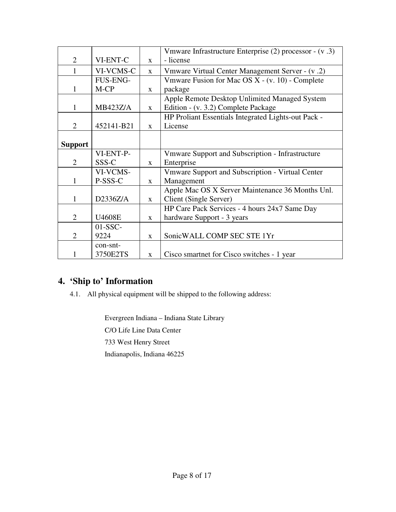|                |                 |              | Vmware Infrastructure Enterprise (2) processor - (v.3)  |  |
|----------------|-----------------|--------------|---------------------------------------------------------|--|
| $\overline{2}$ | VI-ENT-C        | $\mathbf{X}$ | - license                                               |  |
| 1              | VI-VCMS-C       | X            | Vmware Virtual Center Management Server - (v.2)         |  |
|                | FUS-ENG-        |              | Vmware Fusion for Mac OS $X - (v. 10)$ - Complete       |  |
| 1              | M-CP            | X            | package                                                 |  |
|                |                 |              | Apple Remote Desktop Unlimited Managed System           |  |
| 1              | <b>MB423Z/A</b> | X            | Edition - (v. 3.2) Complete Package                     |  |
|                |                 |              | HP Proliant Essentials Integrated Lights-out Pack -     |  |
| $\overline{2}$ | 452141-B21      | $\mathbf{X}$ | License                                                 |  |
|                |                 |              |                                                         |  |
| <b>Support</b> |                 |              |                                                         |  |
|                | VI-ENT-P-       |              | Vmware Support and Subscription - Infrastructure        |  |
| $\overline{2}$ | SSS-C           | X            | Enterprise                                              |  |
|                | VI-VCMS-        |              | <b>Vmware Support and Subscription - Virtual Center</b> |  |
| 1              | P-SSS-C         | $\mathbf{X}$ | Management                                              |  |
|                |                 |              | Apple Mac OS X Server Maintenance 36 Months Unl.        |  |
| 1              | D2336Z/A        | $\mathbf{X}$ | Client (Single Server)                                  |  |
|                |                 |              | HP Care Pack Services - 4 hours 24x7 Same Day           |  |
| $\overline{2}$ | <b>U4608E</b>   | $\mathbf{X}$ | hardware Support - 3 years                              |  |
|                | $01-SSC-$       |              |                                                         |  |
| 2              | 9224            | $\mathbf{x}$ | SonicWALL COMP SEC STE 1Yr                              |  |
|                | con-snt-        |              |                                                         |  |
|                | 3750E2TS        | $\mathbf{X}$ | Cisco smartnet for Cisco switches - 1 year              |  |

## **4. 'Ship to' Information**

4.1. All physical equipment will be shipped to the following address:

Evergreen Indiana – Indiana State Library C/O Life Line Data Center 733 West Henry Street Indianapolis, Indiana 46225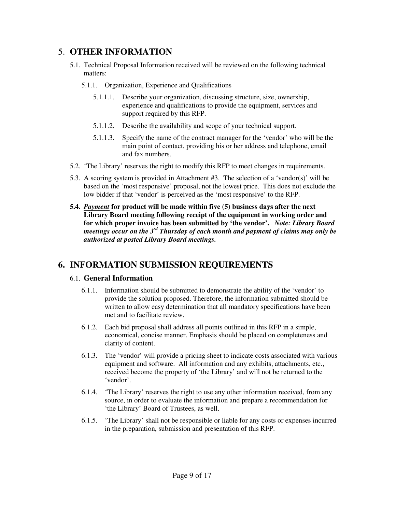### 5. **OTHER INFORMATION**

- 5.1. Technical Proposal Information received will be reviewed on the following technical matters:
	- 5.1.1. Organization, Experience and Qualifications
		- 5.1.1.1. Describe your organization, discussing structure, size, ownership, experience and qualifications to provide the equipment, services and support required by this RFP.
		- 5.1.1.2. Describe the availability and scope of your technical support.
		- 5.1.1.3. Specify the name of the contract manager for the 'vendor' who will be the main point of contact, providing his or her address and telephone, email and fax numbers.
- 5.2. 'The Library' reserves the right to modify this RFP to meet changes in requirements.
- 5.3. A scoring system is provided in Attachment #3. The selection of a 'vendor(s)' will be based on the 'most responsive' proposal, not the lowest price. This does not exclude the low bidder if that 'vendor' is perceived as the 'most responsive' to the RFP.
- **5.4.** *Payment* **for product will be made within five (5) business days after the next Library Board meeting following receipt of the equipment in working order and for which proper invoice has been submitted by 'the vendor'.** *Note: Library Board meetings occur on the 3rd Thursday of each month and payment of claims may only be authorized at posted Library Board meetings.*

## **6. INFORMATION SUBMISSION REQUIREMENTS**

#### 6.1. **General Information**

- 6.1.1. Information should be submitted to demonstrate the ability of the 'vendor' to provide the solution proposed. Therefore, the information submitted should be written to allow easy determination that all mandatory specifications have been met and to facilitate review.
- 6.1.2. Each bid proposal shall address all points outlined in this RFP in a simple, economical, concise manner. Emphasis should be placed on completeness and clarity of content.
- 6.1.3. The 'vendor' will provide a pricing sheet to indicate costs associated with various equipment and software. All information and any exhibits, attachments, etc., received become the property of 'the Library' and will not be returned to the 'vendor'.
- 6.1.4. 'The Library' reserves the right to use any other information received, from any source, in order to evaluate the information and prepare a recommendation for 'the Library' Board of Trustees, as well.
- 6.1.5. 'The Library' shall not be responsible or liable for any costs or expenses incurred in the preparation, submission and presentation of this RFP.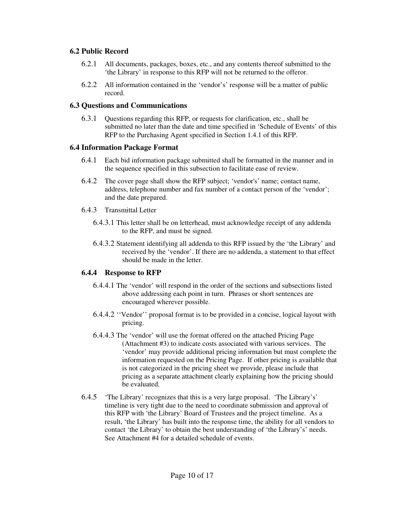#### **6.2 Public Record**

- 6.2.1 All documents, packages, boxes, etc., and any contents thereof submitted to the 'the Library' in response to this RFP will not be returned to the offeror.
- 6.2.2 All information contained in the 'vendor's' response will be a matter of public record.

#### **6.3 Questions and Communications**

6.3.1 Questions regarding this RFP, or requests for clarification, etc., shall be submitted no later than the date and time specified in 'Schedule of Events' of this RFP to the Purchasing Agent specified in Section 1.4.1 of this RFP.

#### **6.4 Information Package Format**

- 6.4.1 Each bid information package submitted shall be formatted in the manner and in the sequence specified in this subsection to facilitate ease of review.
- 6.4.2 The cover page shall show the RFP subject; 'vendor's' name; contact name, address, telephone number and fax number of a contact person of the 'vendor'; and the date prepared.
- 6.4.3 Transmittal Letter
	- 6.4.3.1 This letter shall be on letterhead, must acknowledge receipt of any addenda to the RFP, and must be signed.
	- 6.4.3.2 Statement identifying all addenda to this RFP issued by the 'the Library' and received by the 'vendor'. If there are no addenda, a statement to that effect should be made in the letter.

#### **6.4.4 Response to RFP**

- 6.4.4.1 The 'vendor' will respond in the order of the sections and subsections listed above addressing each point in turn. Phrases or short sentences are encouraged wherever possible.
- 6.4.4.2 ''Vendor'' proposal format is to be provided in a concise, logical layout with pricing.
- 6.4.4.3 The 'vendor' will use the format offered on the attached Pricing Page (Attachment #3) to indicate costs associated with various services. The 'vendor' may provide additional pricing information but must complete the information requested on the Pricing Page. If other pricing is available that is not categorized in the pricing sheet we provide, please include that pricing as a separate attachment clearly explaining how the pricing should be evaluated.
- 6.4.5 'The Library' recognizes that this is a very large proposal. 'The Library's' timeline is very tight due to the need to coordinate submission and approval of this RFP with 'the Library' Board of Trustees and the project timeline. As a result, 'the Library' has built into the response time, the ability for all vendors to contact 'the Library' to obtain the best understanding of 'the Library's' needs. See Attachment #4 for a detailed schedule of events.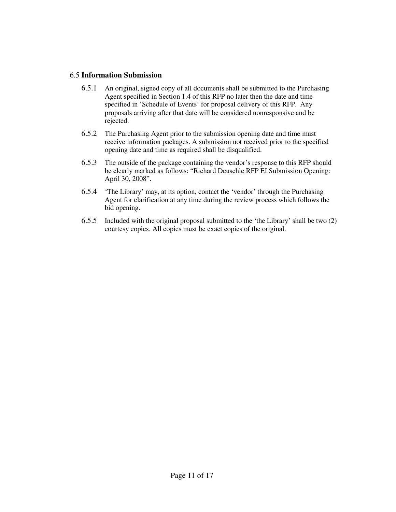#### 6.5 **Information Submission**

- 6.5.1 An original, signed copy of all documents shall be submitted to the Purchasing Agent specified in Section 1.4 of this RFP no later then the date and time specified in 'Schedule of Events' for proposal delivery of this RFP. Any proposals arriving after that date will be considered nonresponsive and be rejected.
- 6.5.2 The Purchasing Agent prior to the submission opening date and time must receive information packages. A submission not received prior to the specified opening date and time as required shall be disqualified.
- 6.5.3 The outside of the package containing the vendor's response to this RFP should be clearly marked as follows: "Richard Deuschle RFP EI Submission Opening: April 30, 2008".
- 6.5.4 'The Library' may, at its option, contact the 'vendor' through the Purchasing Agent for clarification at any time during the review process which follows the bid opening.
- 6.5.5 Included with the original proposal submitted to the 'the Library' shall be two (2) courtesy copies. All copies must be exact copies of the original.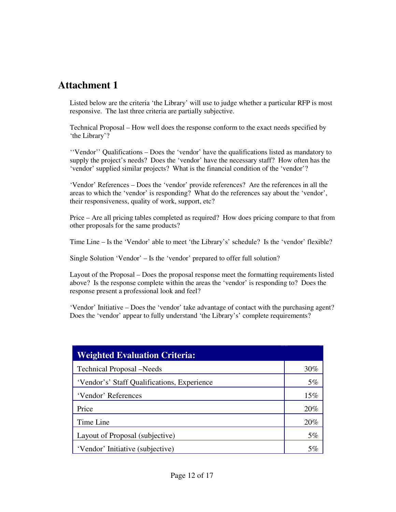Listed below are the criteria 'the Library' will use to judge whether a particular RFP is most responsive. The last three criteria are partially subjective.

Technical Proposal – How well does the response conform to the exact needs specified by 'the Library'?

''Vendor'' Qualifications – Does the 'vendor' have the qualifications listed as mandatory to supply the project's needs? Does the 'vendor' have the necessary staff? How often has the 'vendor' supplied similar projects? What is the financial condition of the 'vendor'?

'Vendor' References – Does the 'vendor' provide references? Are the references in all the areas to which the 'vendor' is responding? What do the references say about the 'vendor', their responsiveness, quality of work, support, etc?

Price – Are all pricing tables completed as required? How does pricing compare to that from other proposals for the same products?

Time Line – Is the 'Vendor' able to meet 'the Library's' schedule? Is the 'vendor' flexible?

Single Solution 'Vendor' – Is the 'vendor' prepared to offer full solution?

Layout of the Proposal – Does the proposal response meet the formatting requirements listed above? Is the response complete within the areas the 'vendor' is responding to? Does the response present a professional look and feel?

'Vendor' Initiative – Does the 'vendor' take advantage of contact with the purchasing agent? Does the 'vendor' appear to fully understand 'the Library's' complete requirements?

| <b>Weighted Evaluation Criteria:</b>        |     |
|---------------------------------------------|-----|
| <b>Technical Proposal</b> – Needs           | 30% |
| 'Vendor's' Staff Qualifications, Experience | 5%  |
| 'Vendor' References                         | 15% |
| Price                                       | 20% |
| Time Line                                   | 20% |
| Layout of Proposal (subjective)             | 5%  |
| 'Vendor' Initiative (subjective)            | 5%  |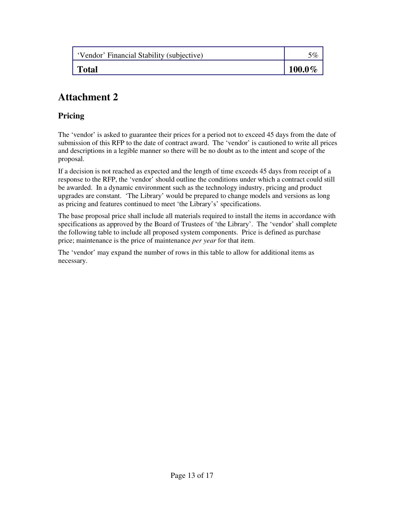| 'Vendor' Financial Stability (subjective) | 5%        |
|-------------------------------------------|-----------|
| <b>Total</b>                              | $100.0\%$ |

### **Pricing**

The 'vendor' is asked to guarantee their prices for a period not to exceed 45 days from the date of submission of this RFP to the date of contract award. The 'vendor' is cautioned to write all prices and descriptions in a legible manner so there will be no doubt as to the intent and scope of the proposal.

If a decision is not reached as expected and the length of time exceeds 45 days from receipt of a response to the RFP, the 'vendor' should outline the conditions under which a contract could still be awarded. In a dynamic environment such as the technology industry, pricing and product upgrades are constant. 'The Library' would be prepared to change models and versions as long as pricing and features continued to meet 'the Library's' specifications.

The base proposal price shall include all materials required to install the items in accordance with specifications as approved by the Board of Trustees of 'the Library'. The 'vendor' shall complete the following table to include all proposed system components. Price is defined as purchase price; maintenance is the price of maintenance *per year* for that item.

The 'vendor' may expand the number of rows in this table to allow for additional items as necessary.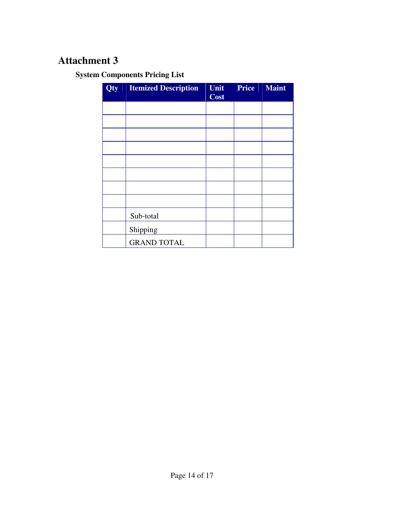**System Components Pricing List** 

| Qty | <b>Itemized Description</b> | Unit<br><b>Cost</b> | <b>Price</b> | <b>Maint</b> |
|-----|-----------------------------|---------------------|--------------|--------------|
|     |                             |                     |              |              |
|     |                             |                     |              |              |
|     |                             |                     |              |              |
|     |                             |                     |              |              |
|     |                             |                     |              |              |
|     |                             |                     |              |              |
|     |                             |                     |              |              |
|     |                             |                     |              |              |
|     | Sub-total                   |                     |              |              |
|     | Shipping                    |                     |              |              |
|     | <b>GRAND TOTAL</b>          |                     |              |              |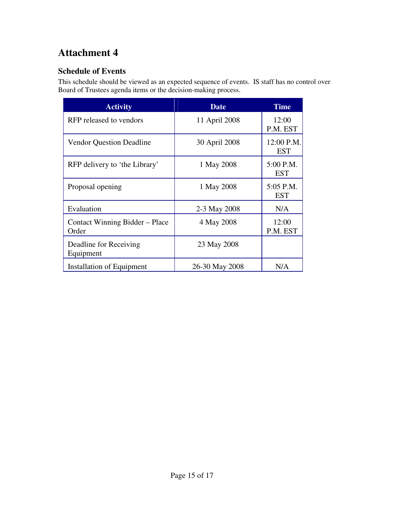## **Schedule of Events**

This schedule should be viewed as an expected sequence of events. IS staff has no control over Board of Trustees agenda items or the decision-making process.

| <b>Activity</b>                         | <b>Date</b>    | <b>Time</b>              |  |  |
|-----------------------------------------|----------------|--------------------------|--|--|
| RFP released to vendors                 | 11 April 2008  | 12:00<br>P.M. EST        |  |  |
| <b>Vendor Question Deadline</b>         | 30 April 2008  | 12:00 P.M.<br><b>EST</b> |  |  |
| RFP delivery to 'the Library'           | 1 May 2008     | 5:00 P.M.<br><b>EST</b>  |  |  |
| Proposal opening                        | 1 May 2008     | 5:05 P.M.<br><b>EST</b>  |  |  |
| Evaluation                              | 2-3 May 2008   | N/A                      |  |  |
| Contact Winning Bidder – Place<br>Order | 4 May 2008     | 12:00<br>P.M. EST        |  |  |
| Deadline for Receiving<br>Equipment     | 23 May 2008    |                          |  |  |
| Installation of Equipment               | 26-30 May 2008 | N/A                      |  |  |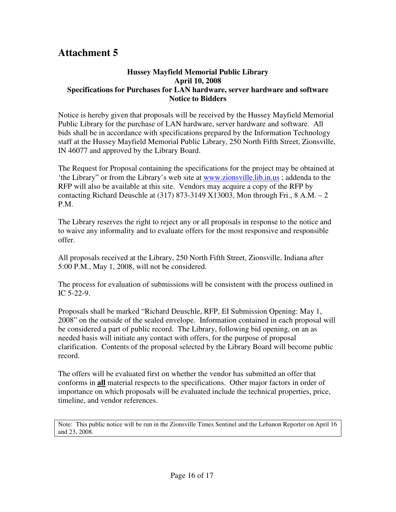#### **Hussey Mayfield Memorial Public Library April 10, 2008 Specifications for Purchases for LAN hardware, server hardware and software Notice to Bidders**

Notice is hereby given that proposals will be received by the Hussey Mayfield Memorial Public Library for the purchase of LAN hardware, server hardware and software. All bids shall be in accordance with specifications prepared by the Information Technology staff at the Hussey Mayfield Memorial Public Library, 250 North Fifth Street, Zionsville, IN 46077 and approved by the Library Board.

The Request for Proposal containing the specifications for the project may be obtained at 'the Library" or from the Library's web site at www.zionsville.lib.in.us ; addenda to the RFP will also be available at this site. Vendors may acquire a copy of the RFP by contacting Richard Deuschle at  $(317)$  873-3149 X13003, Mon through Fri., 8 A.M. – 2 P.M.

The Library reserves the right to reject any or all proposals in response to the notice and to waive any informality and to evaluate offers for the most responsive and responsible offer.

All proposals received at the Library, 250 North Fifth Street, Zionsville, Indiana after 5:00 P.M., May 1, 2008, will not be considered.

The process for evaluation of submissions will be consistent with the process outlined in IC 5-22-9.

Proposals shall be marked "Richard Deuschle, RFP, EI Submission Opening: May 1, 2008" on the outside of the sealed envelope. Information contained in each proposal will be considered a part of public record. The Library, following bid opening, on an as needed basis will initiate any contact with offers, for the purpose of proposal clarification. Contents of the proposal selected by the Library Board will become public record.

The offers will be evaluated first on whether the vendor has submitted an offer that conforms in **all** material respects to the specifications. Other major factors in order of importance on which proposals will be evaluated include the technical properties, price, timeline, and vendor references.

Note: This public notice will be run in the Zionsville Times Sentinel and the Lebanon Reporter on April 16 and 23, 2008.